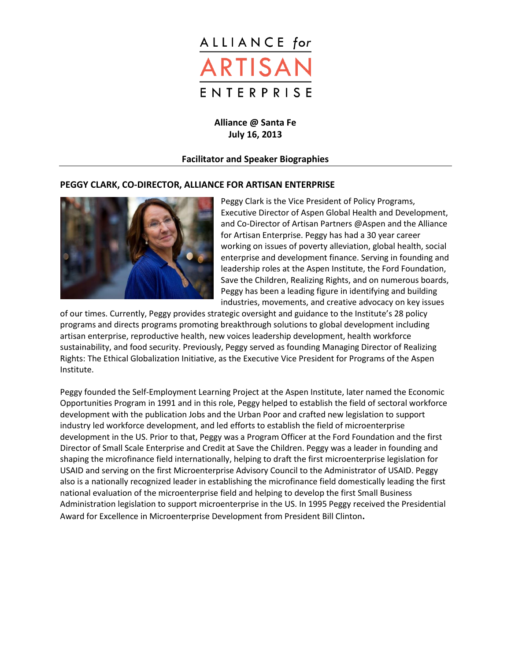

**Alliance @ Santa Fe July 16, 2013**

# **Facilitator and Speaker Biographies**

#### **PEGGY CLARK, CO-DIRECTOR, ALLIANCE FOR ARTISAN ENTERPRISE**



Peggy Clark is the Vice President of Policy Programs, Executive Director of Aspen Global Health and Development, and Co-Director of Artisan Partners @Aspen and the Alliance for Artisan Enterprise. Peggy has had a 30 year career working on issues of poverty alleviation, global health, social enterprise and development finance. Serving in founding and leadership roles at the Aspen Institute, the Ford Foundation, Save the Children, Realizing Rights, and on numerous boards, Peggy has been a leading figure in identifying and building industries, movements, and creative advocacy on key issues

of our times. Currently, Peggy provides strategic oversight and guidance to the Institute's 28 policy programs and directs programs promoting breakthrough solutions to global development including artisan enterprise, reproductive health, new voices leadership development, health workforce sustainability, and food security. Previously, Peggy served as founding Managing Director of Realizing Rights: The Ethical Globalization Initiative, as the Executive Vice President for Programs of the Aspen Institute.

Peggy founded the Self-Employment Learning Project at the Aspen Institute, later named the Economic Opportunities Program in 1991 and in this role, Peggy helped to establish the field of sectoral workforce development with the publication Jobs and the Urban Poor and crafted new legislation to support industry led workforce development, and led efforts to establish the field of microenterprise development in the US. Prior to that, Peggy was a Program Officer at the Ford Foundation and the first Director of Small Scale Enterprise and Credit at Save the Children. Peggy was a leader in founding and shaping the microfinance field internationally, helping to draft the first microenterprise legislation for USAID and serving on the first Microenterprise Advisory Council to the Administrator of USAID. Peggy also is a nationally recognized leader in establishing the microfinance field domestically leading the first national evaluation of the microenterprise field and helping to develop the first Small Business Administration legislation to support microenterprise in the US. In 1995 Peggy received the Presidential Award for Excellence in Microenterprise Development from President Bill Clinton**.**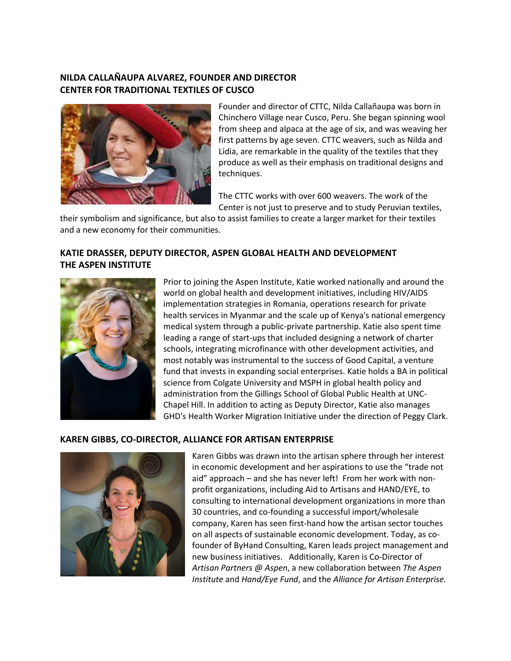# **NILDA CALLAÑAUPA ALVAREZ, FOUNDER AND DIRECTOR CENTER FOR TRADITIONAL TEXTILES OF CUSCO**



Founder and director of CTTC, Nilda Callañaupa was born in Chinchero Village near Cusco, Peru. She began spinning wool from sheep and alpaca at the age of six, and was weaving her first patterns by age seven. CTTC weavers, such as Nilda and Lidia, are remarkable in the quality of the textiles that they produce as well as their emphasis on traditional designs and techniques.

The CTTC works with over 600 weavers. The work of the Center is not just to preserve and to study Peruvian textiles,

their symbolism and significance, but also to assist families to create a larger market for their textiles and a new economy for their communities.

# **KATIE DRASSER, DEPUTY DIRECTOR, ASPEN GLOBAL HEALTH AND DEVELOPMENT THE ASPEN INSTITUTE**



Prior to joining the Aspen Institute, Katie worked nationally and around the world on global health and development initiatives, including HIV/AIDS implementation strategies in Romania, operations research for private health services in Myanmar and the scale up of Kenya's national emergency medical system through a public-private partnership. Katie also spent time leading a range of start-ups that included designing a network of charter schools, integrating microfinance with other development activities, and most notably was instrumental to the success of Good Capital, a venture fund that invests in expanding social enterprises. Katie holds a BA in political science from Colgate University and MSPH in global health policy and administration from the Gillings School of Global Public Health at UNC-Chapel Hill. In addition to acting as Deputy Director, Katie also manages GHD's Health Worker Migration Initiative under the direction of Peggy Clark.

# **KAREN GIBBS, CO-DIRECTOR, ALLIANCE FOR ARTISAN ENTERPRISE**



Karen Gibbs was drawn into the artisan sphere through her interest in economic development and her aspirations to use the "trade not aid" approach – and she has never left! From her work with nonprofit organizations, including Aid to Artisans and HAND/EYE, to consulting to international development organizations in more than 30 countries, and co-founding a successful import/wholesale company, Karen has seen first-hand how the artisan sector touches on all aspects of sustainable economic development. Today, as cofounder of ByHand Consulting, Karen leads project management and new business initiatives. Additionally, Karen is Co-Director of *Artisan Partners @ Aspen*, a new collaboration between *The Aspen Institute* and *Hand/Eye Fund*, and the *Alliance for Artisan Enterprise.*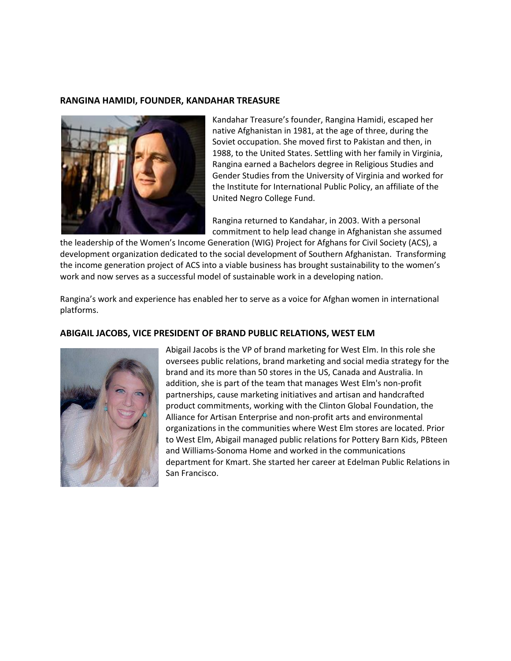#### **RANGINA HAMIDI, FOUNDER, KANDAHAR TREASURE**



Kandahar Treasure's founder, Rangina Hamidi, escaped her native Afghanistan in 1981, at the age of three, during the Soviet occupation. She moved first to Pakistan and then, in 1988, to the United States. Settling with her family in Virginia, Rangina earned a Bachelors degree in Religious Studies and Gender Studies from the University of Virginia and worked for the Institute for International Public Policy, an affiliate of the United Negro College Fund.

Rangina returned to Kandahar, in 2003. With a personal commitment to help lead change in Afghanistan she assumed

the leadership of the Women's Income Generation (WIG) Project for Afghans for Civil Society (ACS), a development organization dedicated to the social development of Southern Afghanistan. Transforming the income generation project of ACS into a viable business has brought sustainability to the women's work and now serves as a successful model of sustainable work in a developing nation.

Rangina's work and experience has enabled her to serve as a voice for Afghan women in international platforms.

#### **ABIGAIL JACOBS, VICE PRESIDENT OF BRAND PUBLIC RELATIONS, WEST ELM**



Abigail Jacobs is the VP of brand marketing for West Elm. In this role she oversees public relations, brand marketing and social media strategy for the brand and its more than 50 stores in the US, Canada and Australia. In addition, she is part of the team that manages West Elm's non-profit partnerships, cause marketing initiatives and artisan and handcrafted product commitments, working with the Clinton Global Foundation, the Alliance for Artisan Enterprise and non-profit arts and environmental organizations in the communities where West Elm stores are located. Prior to West Elm, Abigail managed public relations for Pottery Barn Kids, PBteen and Williams-Sonoma Home and worked in the communications department for Kmart. She started her career at Edelman Public Relations in San Francisco.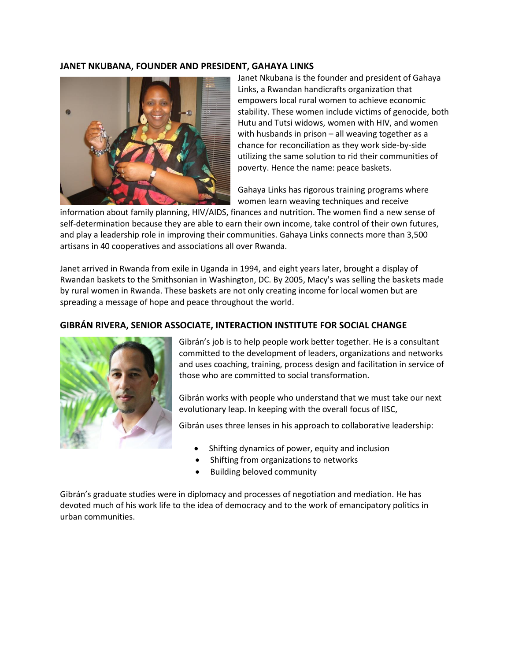## **JANET NKUBANA, FOUNDER AND PRESIDENT, GAHAYA LINKS**



Janet Nkubana is the founder and president of Gahaya Links, a Rwandan handicrafts organization that empowers local rural women to achieve economic stability. These women include victims of genocide, both Hutu and Tutsi widows, women with HIV, and women with husbands in prison – all weaving together as a chance for reconciliation as they work side-by-side utilizing the same solution to rid their communities of poverty. Hence the name: peace baskets.

Gahaya Links has rigorous training programs where women learn weaving techniques and receive

information about family planning, HIV/AIDS, finances and nutrition. The women find a new sense of self-determination because they are able to earn their own income, take control of their own futures, and play a leadership role in improving their communities. Gahaya Links connects more than 3,500 artisans in 40 cooperatives and associations all over Rwanda.

Janet arrived in Rwanda from exile in Uganda in 1994, and eight years later, brought a display of Rwandan baskets to the Smithsonian in Washington, DC. By 2005, Macy's was selling the baskets made by rural women in Rwanda. These baskets are not only creating income for local women but are spreading a message of hope and peace throughout the world.

#### **GIBRÁN RIVERA, SENIOR ASSOCIATE, INTERACTION INSTITUTE FOR SOCIAL CHANGE**



Gibrán's job is to help people work better together. He is a consultant committed to the development of leaders, organizations and networks and uses coaching, training, process design and facilitation in service of those who are committed to social transformation.

Gibrán works with people who understand that we must take our next evolutionary leap. In keeping with the overall focus of IISC,

Gibrán uses three lenses in his approach to collaborative leadership:

- Shifting dynamics of power, equity and inclusion
- Shifting from organizations to networks
- Building beloved community

Gibrán's graduate studies were in diplomacy and processes of negotiation and mediation. He has devoted much of his work life to the idea of democracy and to the work of emancipatory politics in urban communities.